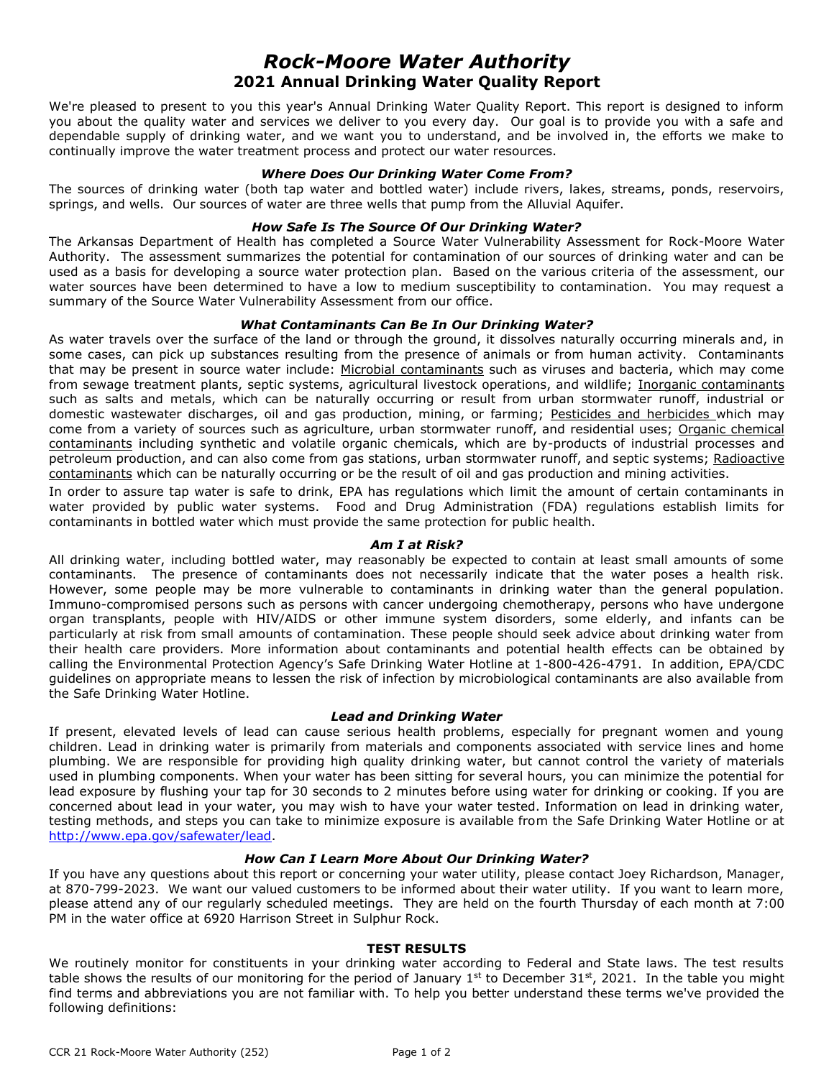# *Rock-Moore Water Authority* **2021 Annual Drinking Water Quality Report**

We're pleased to present to you this year's Annual Drinking Water Quality Report. This report is designed to inform you about the quality water and services we deliver to you every day. Our goal is to provide you with a safe and dependable supply of drinking water, and we want you to understand, and be involved in, the efforts we make to continually improve the water treatment process and protect our water resources.

#### *Where Does Our Drinking Water Come From?*

The sources of drinking water (both tap water and bottled water) include rivers, lakes, streams, ponds, reservoirs, springs, and wells. Our sources of water are three wells that pump from the Alluvial Aquifer.

## *How Safe Is The Source Of Our Drinking Water?*

The Arkansas Department of Health has completed a Source Water Vulnerability Assessment for Rock-Moore Water Authority. The assessment summarizes the potential for contamination of our sources of drinking water and can be used as a basis for developing a source water protection plan. Based on the various criteria of the assessment, our water sources have been determined to have a low to medium susceptibility to contamination. You may request a summary of the Source Water Vulnerability Assessment from our office.

## *What Contaminants Can Be In Our Drinking Water?*

As water travels over the surface of the land or through the ground, it dissolves naturally occurring minerals and, in some cases, can pick up substances resulting from the presence of animals or from human activity. Contaminants that may be present in source water include: Microbial contaminants such as viruses and bacteria, which may come from sewage treatment plants, septic systems, agricultural livestock operations, and wildlife; Inorganic contaminants such as salts and metals, which can be naturally occurring or result from urban stormwater runoff, industrial or domestic wastewater discharges, oil and gas production, mining, or farming; Pesticides and herbicides which may come from a variety of sources such as agriculture, urban stormwater runoff, and residential uses; Organic chemical contaminants including synthetic and volatile organic chemicals, which are by-products of industrial processes and petroleum production, and can also come from gas stations, urban stormwater runoff, and septic systems; Radioactive contaminants which can be naturally occurring or be the result of oil and gas production and mining activities.

In order to assure tap water is safe to drink, EPA has regulations which limit the amount of certain contaminants in water provided by public water systems. Food and Drug Administration (FDA) regulations establish limits for contaminants in bottled water which must provide the same protection for public health.

#### *Am I at Risk?*

All drinking water, including bottled water, may reasonably be expected to contain at least small amounts of some contaminants. The presence of contaminants does not necessarily indicate that the water poses a health risk. However, some people may be more vulnerable to contaminants in drinking water than the general population. Immuno-compromised persons such as persons with cancer undergoing chemotherapy, persons who have undergone organ transplants, people with HIV/AIDS or other immune system disorders, some elderly, and infants can be particularly at risk from small amounts of contamination. These people should seek advice about drinking water from their health care providers. More information about contaminants and potential health effects can be obtained by calling the Environmental Protection Agency's Safe Drinking Water Hotline at 1-800-426-4791. In addition, EPA/CDC guidelines on appropriate means to lessen the risk of infection by microbiological contaminants are also available from the Safe Drinking Water Hotline.

## *Lead and Drinking Water*

If present, elevated levels of lead can cause serious health problems, especially for pregnant women and young children. Lead in drinking water is primarily from materials and components associated with service lines and home plumbing. We are responsible for providing high quality drinking water, but cannot control the variety of materials used in plumbing components. When your water has been sitting for several hours, you can minimize the potential for lead exposure by flushing your tap for 30 seconds to 2 minutes before using water for drinking or cooking. If you are concerned about lead in your water, you may wish to have your water tested. Information on lead in drinking water, testing methods, and steps you can take to minimize exposure is available from the Safe Drinking Water Hotline or at [http://www.epa.gov/safewater/lead.](http://www.epa.gov/safewater/lead)

#### *How Can I Learn More About Our Drinking Water?*

If you have any questions about this report or concerning your water utility, please contact Joey Richardson, Manager, at 870-799-2023. We want our valued customers to be informed about their water utility. If you want to learn more, please attend any of our regularly scheduled meetings. They are held on the fourth Thursday of each month at 7:00 PM in the water office at 6920 Harrison Street in Sulphur Rock.

#### **TEST RESULTS**

We routinely monitor for constituents in your drinking water according to Federal and State laws. The test results table shows the results of our monitoring for the period of January 1<sup>st</sup> to December 31st, 2021. In the table you might find terms and abbreviations you are not familiar with. To help you better understand these terms we've provided the following definitions: